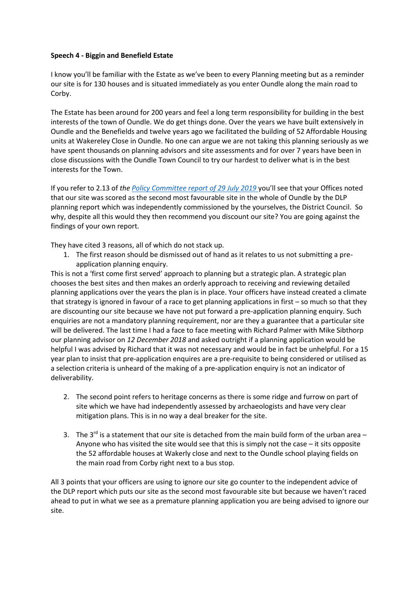## **Speech 4 - Biggin and Benefield Estate**

I know you'll be familiar with the Estate as we've been to every Planning meeting but as a reminder our site is for 130 houses and is situated immediately as you enter Oundle along the main road to Corby.

The Estate has been around for 200 years and feel a long term responsibility for building in the best interests of the town of Oundle. We do get things done. Over the years we have built extensively in Oundle and the Benefields and twelve years ago we facilitated the building of 52 Affordable Housing units at Wakereley Close in Oundle. No one can argue we are not taking this planning seriously as we have spent thousands on planning advisors and site assessments and for over 7 years have been in close discussions with the Oundle Town Council to try our hardest to deliver what is in the best interests for the Town.

If you refer to 2.13 of *the [Policy Committee report of 29 July 2019](https://www.east-northamptonshire.gov.uk/meetings/meeting/1029/planning_policy_committee)* you'll see that your Offices noted that our site was scored as the second most favourable site in the whole of Oundle by the DLP planning report which was independently commissioned by the yourselves, the District Council. So why, despite all this would they then recommend you discount our site? You are going against the findings of your own report.

They have cited 3 reasons, all of which do not stack up.

1. The first reason should be dismissed out of hand as it relates to us not submitting a preapplication planning enquiry.

This is not a 'first come first served' approach to planning but a strategic plan. A strategic plan chooses the best sites and then makes an orderly approach to receiving and reviewing detailed planning applications over the years the plan is in place. Your officers have instead created a climate that strategy is ignored in favour of a race to get planning applications in first – so much so that they are discounting our site because we have not put forward a pre-application planning enquiry. Such enquiries are not a mandatory planning requirement, nor are they a guarantee that a particular site will be delivered. The last time I had a face to face meeting with Richard Palmer with Mike Sibthorp our planning advisor on *12 December 2018* and asked outright if a planning application would be helpful I was advised by Richard that it was not necessary and would be in fact be unhelpful. For a 15 year plan to insist that pre-application enquires are a pre-requisite to being considered or utilised as a selection criteria is unheard of the making of a pre-application enquiry is not an indicator of deliverability.

- 2. The second point refers to heritage concerns as there is some ridge and furrow on part of site which we have had independently assessed by archaeologists and have very clear mitigation plans. This is in no way a deal breaker for the site.
- 3. The  $3^{rd}$  is a statement that our site is detached from the main build form of the urban area Anyone who has visited the site would see that this is simply not the case – it sits opposite the 52 affordable houses at Wakerly close and next to the Oundle school playing fields on the main road from Corby right next to a bus stop.

All 3 points that your officers are using to ignore our site go counter to the independent advice of the DLP report which puts our site as the second most favourable site but because we haven't raced ahead to put in what we see as a premature planning application you are being advised to ignore our site.